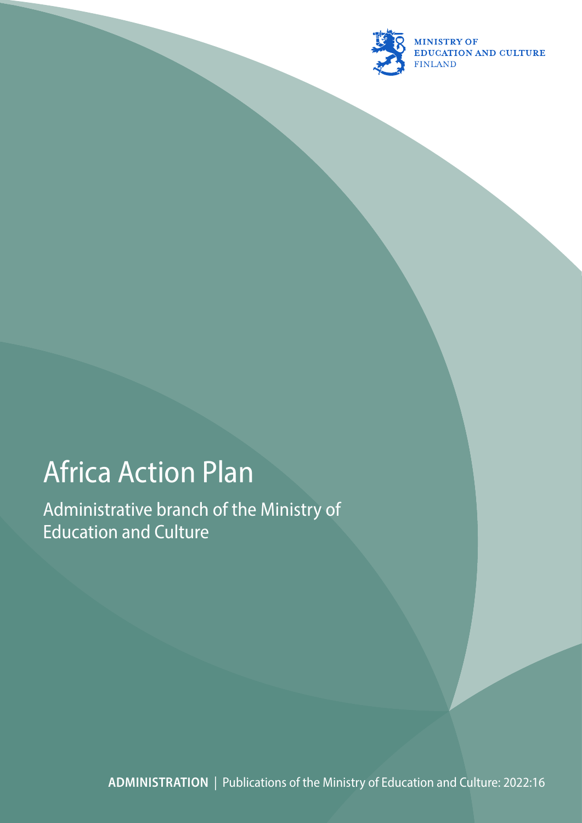

# Africa Action Plan

Administrative branch of the Ministry of Education and Culture

**ADMINISTRATION** | Publications of the Ministry of Education and Culture: 2022:16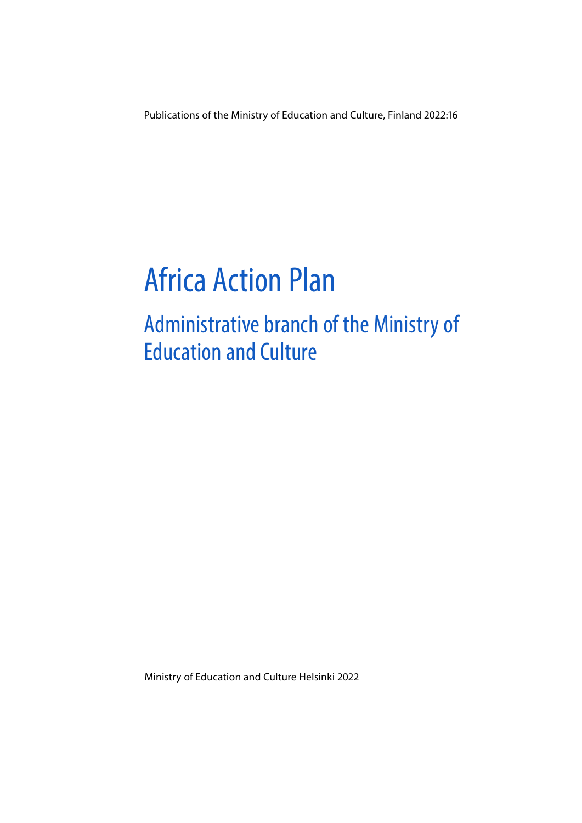Publications of the Ministry of Education and Culture, Finland 2022:16

# Africa Action Plan

# Administrative branch of the Ministry of Education and Culture

Ministry of Education and Culture Helsinki 2022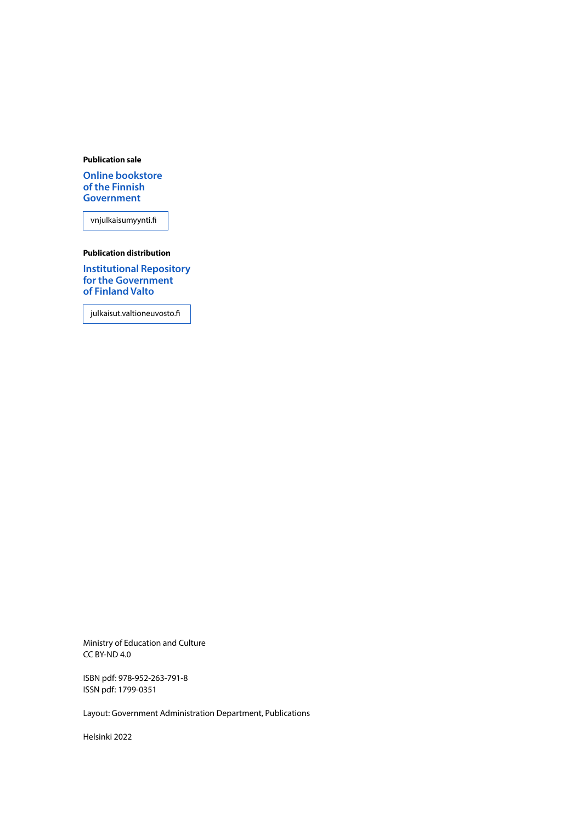#### **Publication sale**

**[Online bookstore](https://vnjulkaisumyynti.fi/)  of the Finnish Government**

vnjulkaisumyynti.fi

#### **Publication distribution**

**[Institutional Repository](https://julkaisut.valtioneuvosto.fi/) for the Government of Finland Valto**

julkaisut.valtioneuvosto.fi

Ministry of Education and Culture CC BY-ND 4.0

ISBN pdf: 978-952-263-791-8 ISSN pdf: 1799-0351

Layout: Government Administration Department, Publications

Helsinki 2022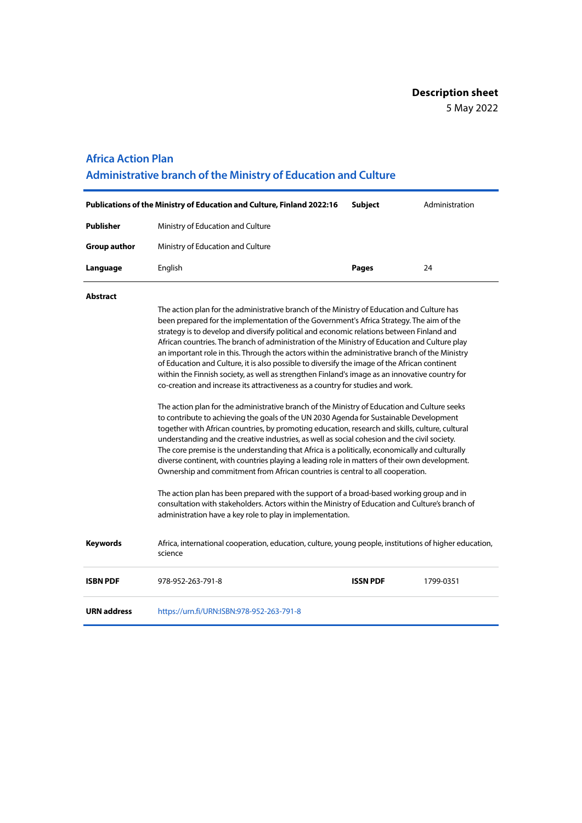#### **Africa Action Plan**

**Administrative branch of the Ministry of Education and Culture**

|                     | <b>Publications of the Ministry of Education and Culture, Finland 2022:16</b> | Subiect      | Administration |
|---------------------|-------------------------------------------------------------------------------|--------------|----------------|
| Publisher           | Ministry of Education and Culture                                             |              |                |
| <b>Group author</b> | Ministry of Education and Culture                                             |              |                |
| Language            | English                                                                       | <b>Pages</b> | 24             |

#### **Abstract**

The action plan for the administrative branch of the Ministry of Education and Culture has been prepared for the implementation of the Government's Africa Strategy. The aim of the strategy is to develop and diversify political and economic relations between Finland and African countries. The branch of administration of the Ministry of Education and Culture play an important role in this. Through the actors within the administrative branch of the Ministry of Education and Culture, it is also possible to diversify the image of the African continent within the Finnish society, as well as strengthen Finland's image as an innovative country for co-creation and increase its attractiveness as a country for studies and work.

The action plan for the administrative branch of the Ministry of Education and Culture seeks to contribute to achieving the goals of the UN 2030 Agenda for Sustainable Development together with African countries, by promoting education, research and skills, culture, cultural understanding and the creative industries, as well as social cohesion and the civil society. The core premise is the understanding that Africa is a politically, economically and culturally diverse continent, with countries playing a leading role in matters of their own development. Ownership and commitment from African countries is central to all cooperation.

The action plan has been prepared with the support of a broad-based working group and in consultation with stakeholders. Actors within the Ministry of Education and Culture's branch of administration have a key role to play in implementation.

**Keywords** Africa, international cooperation, education, culture, young people, institutions of higher education, science

| <b>ISBN PDF</b> | 978-952-263-791-8                         | <b>ISSN PDF</b> | 1799-0351 |
|-----------------|-------------------------------------------|-----------------|-----------|
| URN address     | https://urn.fi/URN:ISBN:978-952-263-791-8 |                 |           |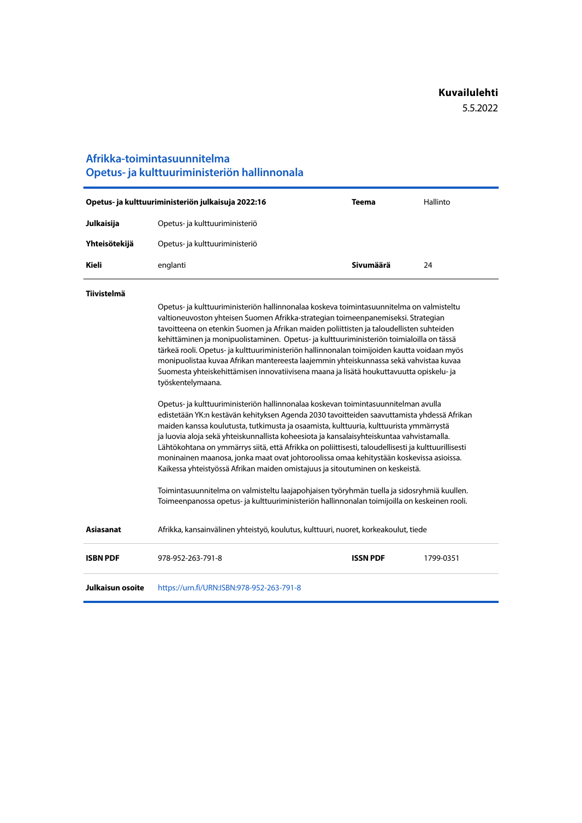### **Afrikka-toimintasuunnitelma Opetus- ja kulttuuriministeriön hallinnonala**

| Opetus- ja kulttuuriministeriön julkaisuja 2022:16 |                                | <b>Teema</b> | Hallinto |
|----------------------------------------------------|--------------------------------|--------------|----------|
| Julkaisija                                         | Opetus- ja kulttuuriministeriö |              |          |
| Yhteisötekijä                                      | Opetus- ja kulttuuriministeriö |              |          |
| Kieli                                              | englanti                       | Sivumäärä    | 24       |

#### **Tiivistelmä**

Opetus- ja kulttuuriministeriön hallinnonalaa koskeva toimintasuunnitelma on valmisteltu valtioneuvoston yhteisen Suomen Afrikka-strategian toimeenpanemiseksi. Strategian tavoitteena on etenkin Suomen ja Afrikan maiden poliittisten ja taloudellisten suhteiden kehittäminen ja monipuolistaminen. Opetus- ja kulttuuriministeriön toimialoilla on tässä tärkeä rooli. Opetus- ja kulttuuriministeriön hallinnonalan toimijoiden kautta voidaan myös monipuolistaa kuvaa Afrikan mantereesta laajemmin yhteiskunnassa sekä vahvistaa kuvaa Suomesta yhteiskehittämisen innovatiivisena maana ja lisätä houkuttavuutta opiskelu- ja työskentelymaana.

Opetus- ja kulttuuriministeriön hallinnonalaa koskevan toimintasuunnitelman avulla edistetään YK:n kestävän kehityksen Agenda 2030 tavoitteiden saavuttamista yhdessä Afrikan maiden kanssa koulutusta, tutkimusta ja osaamista, kulttuuria, kulttuurista ymmärrystä ja luovia aloja sekä yhteiskunnallista koheesiota ja kansalaisyhteiskuntaa vahvistamalla. Lähtökohtana on ymmärrys siitä, että Afrikka on poliittisesti, taloudellisesti ja kulttuurillisesti moninainen maanosa, jonka maat ovat johtoroolissa omaa kehitystään koskevissa asioissa. Kaikessa yhteistyössä Afrikan maiden omistajuus ja sitoutuminen on keskeistä.

Toimintasuunnitelma on valmisteltu laajapohjaisen työryhmän tuella ja sidosryhmiä kuullen. Toimeenpanossa opetus- ja kulttuuriministeriön hallinnonalan toimijoilla on keskeinen rooli.

**Asiasanat** Afrikka, kansainvälinen yhteistyö, koulutus, kulttuuri, nuoret, korkeakoulut, tiede

**ISBN PDF** 978-952-263-791-8 **ISSN PDF** 1799-0351 **Julkaisun osoite** <https://urn.fi/URN:ISBN:978-952-263-791-8>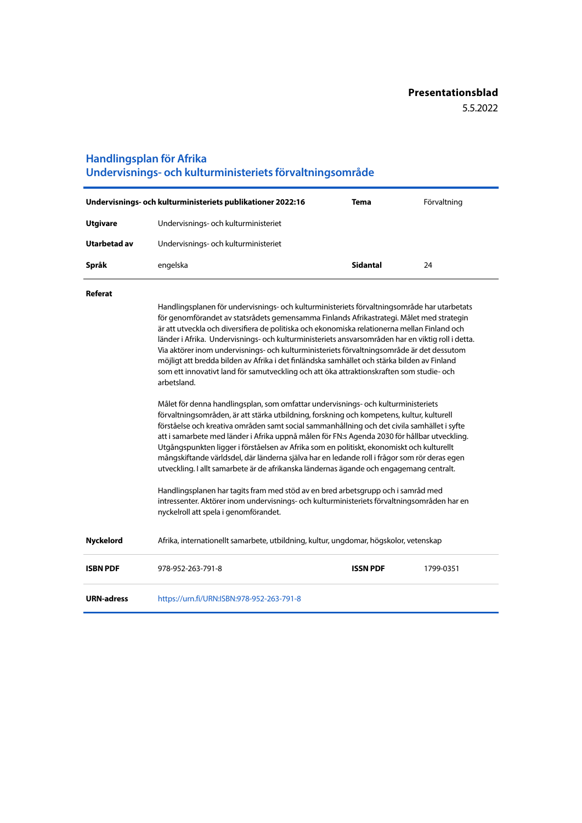### **Handlingsplan för Afrika Undervisnings- och kulturministeriets förvaltningsområde**

| Undervisnings- och kulturministeriets publikationer 2022:16 |                                      | Tema            | Förvaltning |
|-------------------------------------------------------------|--------------------------------------|-----------------|-------------|
| <b>Utgivare</b>                                             | Undervisnings- och kulturministeriet |                 |             |
| Utarbetad av                                                | Undervisnings- och kulturministeriet |                 |             |
| Språk                                                       | engelska                             | <b>Sidantal</b> | 24          |

#### **Referat**

Handlingsplanen för undervisnings- och kulturministeriets förvaltningsområde har utarbetats för genomförandet av statsrådets gemensamma Finlands Afrikastrategi. Målet med strategin är att utveckla och diversifiera de politiska och ekonomiska relationerna mellan Finland och länder i Afrika. Undervisnings- och kulturministeriets ansvarsområden har en viktig roll i detta. Via aktörer inom undervisnings- och kulturministeriets förvaltningsområde är det dessutom möjligt att bredda bilden av Afrika i det finländska samhället och stärka bilden av Finland som ett innovativt land för samutveckling och att öka attraktionskraften som studie- och arbetsland.

Målet för denna handlingsplan, som omfattar undervisnings- och kulturministeriets förvaltningsområden, är att stärka utbildning, forskning och kompetens, kultur, kulturell förståelse och kreativa områden samt social sammanhållning och det civila samhället i syfte att i samarbete med länder i Afrika uppnå målen för FN:s Agenda 2030 för hållbar utveckling. Utgångspunkten ligger i förståelsen av Afrika som en politiskt, ekonomiskt och kulturellt mångskiftande världsdel, där länderna själva har en ledande roll i frågor som rör deras egen utveckling. I allt samarbete är de afrikanska ländernas ägande och engagemang centralt.

Handlingsplanen har tagits fram med stöd av en bred arbetsgrupp och i samråd med intressenter. Aktörer inom undervisnings- och kulturministeriets förvaltningsområden har en nyckelroll att spela i genomförandet.

| Nyckelord         | Afrika, internationellt samarbete, utbildning, kultur, ungdomar, högskolor, vetenskap |                 |           |
|-------------------|---------------------------------------------------------------------------------------|-----------------|-----------|
| <b>ISBN PDF</b>   | 978-952-263-791-8                                                                     | <b>ISSN PDF</b> | 1799-0351 |
| <b>URN-adress</b> | https://urn.fi/URN:ISBN:978-952-263-791-8                                             |                 |           |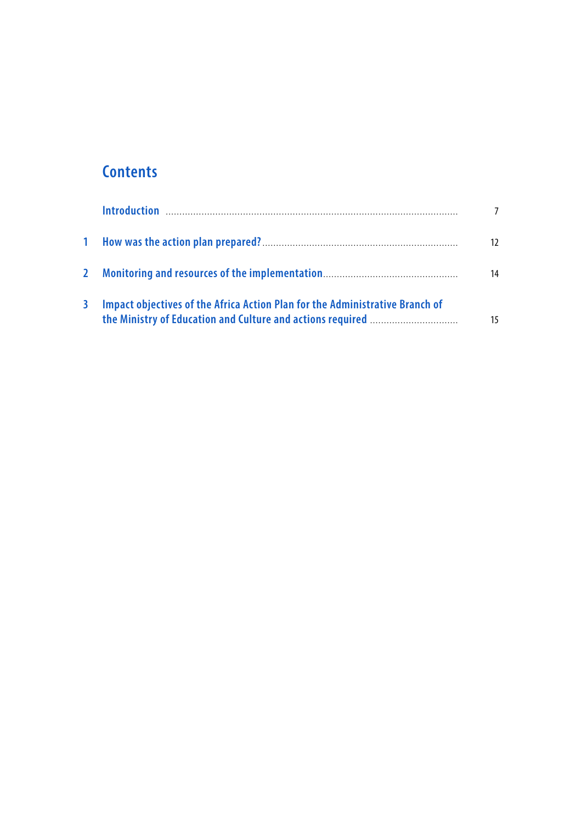### **Contents**

|   |                                                                              | 12 |
|---|------------------------------------------------------------------------------|----|
|   |                                                                              | 14 |
| 3 | Impact objectives of the Africa Action Plan for the Administrative Branch of | 15 |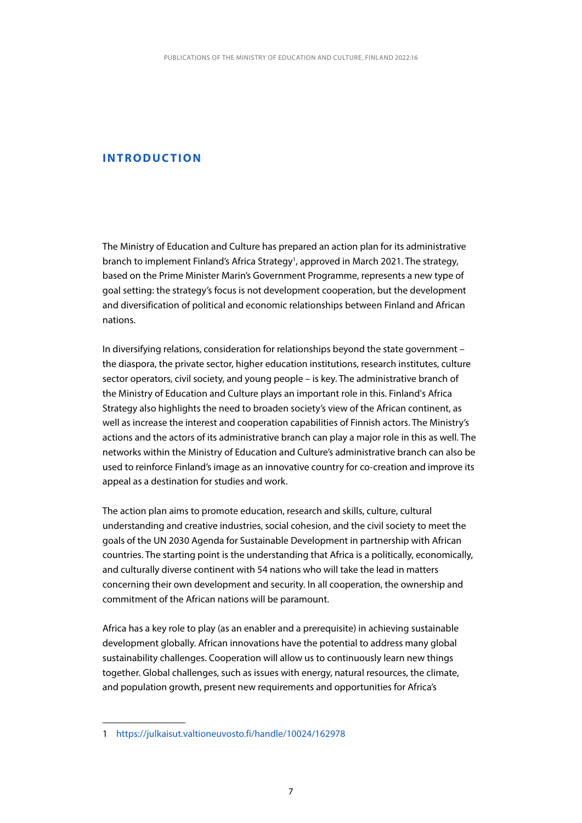### <span id="page-7-0"></span>**INTRODUCTION**

The Ministry of Education and Culture has prepared an action plan for its administrative branch to implement Finland's Africa Strategy<sup>1</sup>, approved in March 2021. The strategy, based on the Prime Minister Marin's Government Programme, represents a new type of goal setting: the strategy's focus is not development cooperation, but the development and diversification of political and economic relationships between Finland and African nations.

In diversifying relations, consideration for relationships beyond the state government – the diaspora, the private sector, higher education institutions, research institutes, culture sector operators, civil society, and young people – is key. The administrative branch of the Ministry of Education and Culture plays an important role in this. Finland's Africa Strategy also highlights the need to broaden society's view of the African continent, as well as increase the interest and cooperation capabilities of Finnish actors. The Ministry's actions and the actors of its administrative branch can play a major role in this as well. The networks within the Ministry of Education and Culture's administrative branch can also be used to reinforce Finland's image as an innovative country for co-creation and improve its appeal as a destination for studies and work.

The action plan aims to promote education, research and skills, culture, cultural understanding and creative industries, social cohesion, and the civil society to meet the goals of the UN 2030 Agenda for Sustainable Development in partnership with African countries. The starting point is the understanding that Africa is a politically, economically, and culturally diverse continent with 54 nations who will take the lead in matters concerning their own development and security. In all cooperation, the ownership and commitment of the African nations will be paramount.

Africa has a key role to play (as an enabler and a prerequisite) in achieving sustainable development globally. African innovations have the potential to address many global sustainability challenges. Cooperation will allow us to continuously learn new things together. Global challenges, such as issues with energy, natural resources, the climate, and population growth, present new requirements and opportunities for Africa's

<sup>1</sup> <https://julkaisut.valtioneuvosto.fi/handle/10024/162978>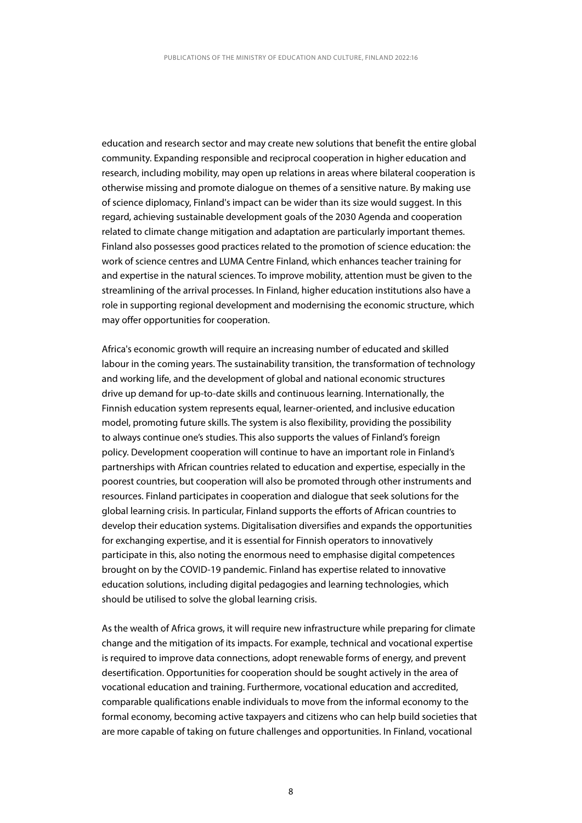education and research sector and may create new solutions that benefit the entire global community. Expanding responsible and reciprocal cooperation in higher education and research, including mobility, may open up relations in areas where bilateral cooperation is otherwise missing and promote dialogue on themes of a sensitive nature. By making use of science diplomacy, Finland's impact can be wider than its size would suggest. In this regard, achieving sustainable development goals of the 2030 Agenda and cooperation related to climate change mitigation and adaptation are particularly important themes. Finland also possesses good practices related to the promotion of science education: the work of science centres and LUMA Centre Finland, which enhances teacher training for and expertise in the natural sciences. To improve mobility, attention must be given to the streamlining of the arrival processes. In Finland, higher education institutions also have a role in supporting regional development and modernising the economic structure, which may offer opportunities for cooperation.

Africa's economic growth will require an increasing number of educated and skilled labour in the coming years. The sustainability transition, the transformation of technology and working life, and the development of global and national economic structures drive up demand for up-to-date skills and continuous learning. Internationally, the Finnish education system represents equal, learner-oriented, and inclusive education model, promoting future skills. The system is also flexibility, providing the possibility to always continue one's studies. This also supports the values of Finland's foreign policy. Development cooperation will continue to have an important role in Finland's partnerships with African countries related to education and expertise, especially in the poorest countries, but cooperation will also be promoted through other instruments and resources. Finland participates in cooperation and dialogue that seek solutions for the global learning crisis. In particular, Finland supports the efforts of African countries to develop their education systems. Digitalisation diversifies and expands the opportunities for exchanging expertise, and it is essential for Finnish operators to innovatively participate in this, also noting the enormous need to emphasise digital competences brought on by the COVID-19 pandemic. Finland has expertise related to innovative education solutions, including digital pedagogies and learning technologies, which should be utilised to solve the global learning crisis.

As the wealth of Africa grows, it will require new infrastructure while preparing for climate change and the mitigation of its impacts. For example, technical and vocational expertise is required to improve data connections, adopt renewable forms of energy, and prevent desertification. Opportunities for cooperation should be sought actively in the area of vocational education and training. Furthermore, vocational education and accredited, comparable qualifications enable individuals to move from the informal economy to the formal economy, becoming active taxpayers and citizens who can help build societies that are more capable of taking on future challenges and opportunities. In Finland, vocational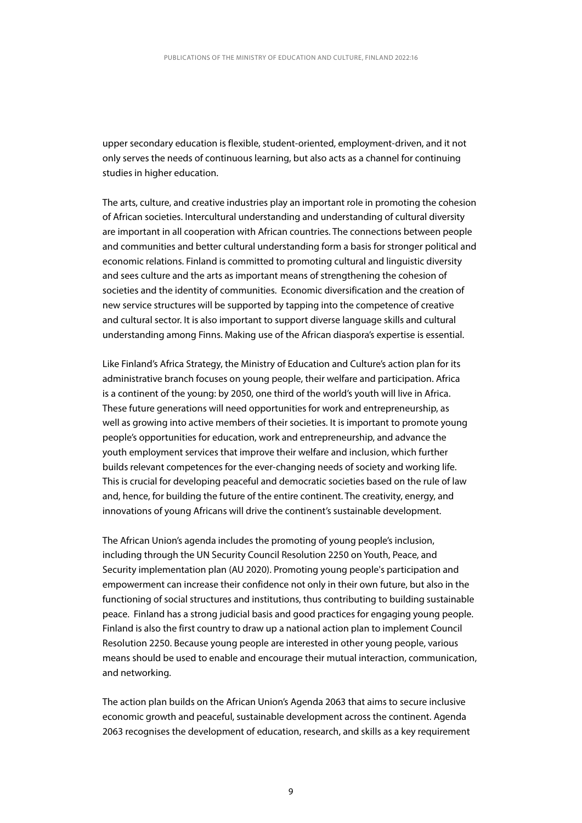upper secondary education is flexible, student-oriented, employment-driven, and it not only serves the needs of continuous learning, but also acts as a channel for continuing studies in higher education.

The arts, culture, and creative industries play an important role in promoting the cohesion of African societies. Intercultural understanding and understanding of cultural diversity are important in all cooperation with African countries. The connections between people and communities and better cultural understanding form a basis for stronger political and economic relations. Finland is committed to promoting cultural and linguistic diversity and sees culture and the arts as important means of strengthening the cohesion of societies and the identity of communities. Economic diversification and the creation of new service structures will be supported by tapping into the competence of creative and cultural sector. It is also important to support diverse language skills and cultural understanding among Finns. Making use of the African diaspora's expertise is essential.

Like Finland's Africa Strategy, the Ministry of Education and Culture's action plan for its administrative branch focuses on young people, their welfare and participation. Africa is a continent of the young: by 2050, one third of the world's youth will live in Africa. These future generations will need opportunities for work and entrepreneurship, as well as growing into active members of their societies. It is important to promote young people's opportunities for education, work and entrepreneurship, and advance the youth employment services that improve their welfare and inclusion, which further builds relevant competences for the ever-changing needs of society and working life. This is crucial for developing peaceful and democratic societies based on the rule of law and, hence, for building the future of the entire continent. The creativity, energy, and innovations of young Africans will drive the continent's sustainable development.

The African Union's agenda includes the promoting of young people's inclusion, including through the UN Security Council Resolution 2250 on Youth, Peace, and Security implementation plan (AU 2020). Promoting young people's participation and empowerment can increase their confidence not only in their own future, but also in the functioning of social structures and institutions, thus contributing to building sustainable peace. Finland has a strong judicial basis and good practices for engaging young people. Finland is also the first country to draw up a national action plan to implement Council Resolution 2250. Because young people are interested in other young people, various means should be used to enable and encourage their mutual interaction, communication, and networking.

The action plan builds on the African Union's Agenda 2063 that aims to secure inclusive economic growth and peaceful, sustainable development across the continent. Agenda 2063 recognises the development of education, research, and skills as a key requirement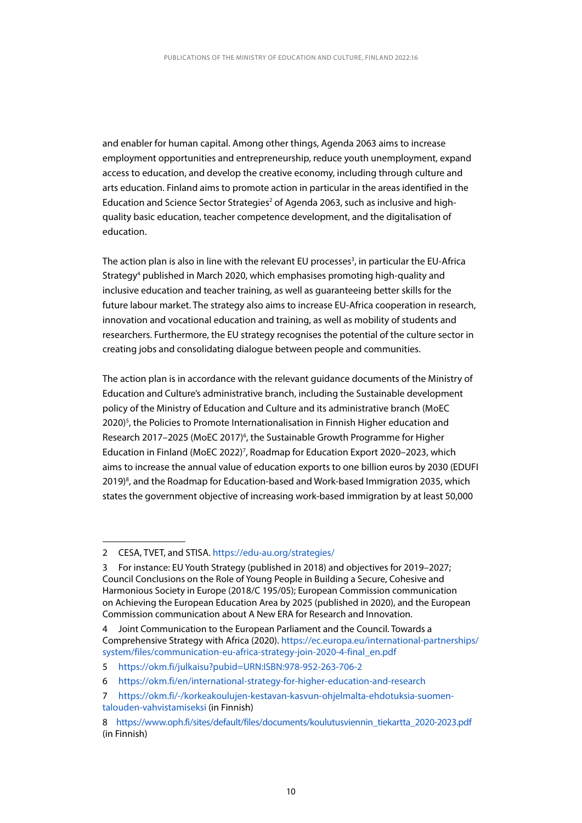and enabler for human capital. Among other things, Agenda 2063 aims to increase employment opportunities and entrepreneurship, reduce youth unemployment, expand access to education, and develop the creative economy, including through culture and arts education. Finland aims to promote action in particular in the areas identified in the Education and Science Sector Strategies<sup>2</sup> of Agenda 2063, such as inclusive and highquality basic education, teacher competence development, and the digitalisation of education.

The action plan is also in line with the relevant EU processes<sup>3</sup>, in particular the EU-Africa Strategy<sup>4</sup> published in March 2020, which emphasises promoting high-quality and inclusive education and teacher training, as well as guaranteeing better skills for the future labour market. The strategy also aims to increase EU-Africa cooperation in research, innovation and vocational education and training, as well as mobility of students and researchers. Furthermore, the EU strategy recognises the potential of the culture sector in creating jobs and consolidating dialogue between people and communities.

The action plan is in accordance with the relevant guidance documents of the Ministry of Education and Culture's administrative branch, including the Sustainable development policy of the Ministry of Education and Culture and its administrative branch (MoEC 2020)<sup>5</sup>, the Policies to Promote Internationalisation in Finnish Higher education and Research 2017-2025 (MoEC 2017)<sup>6</sup>, the Sustainable Growth Programme for Higher Education in Finland (MoEC 2022)<sup>7</sup>, Roadmap for Education Export 2020-2023, which aims to increase the annual value of education exports to one billion euros by 2030 (EDUFI 2019)<sup>8</sup>, and the Roadmap for Education-based and Work-based Immigration 2035, which states the government objective of increasing work-based immigration by at least 50,000

<sup>2</sup> CESA, TVET, and STISA. <https://edu-au.org/strategies/>

<sup>3</sup> For instance: EU Youth Strategy (published in 2018) and objectives for 2019–2027; Council Conclusions on the Role of Young People in Building a Secure, Cohesive and Harmonious Society in Europe (2018/C 195/05); European Commission communication on Achieving the European Education Area by 2025 (published in 2020), and the European Commission communication about A New ERA for Research and Innovation.

<sup>4</sup> Joint Communication to the European Parliament and the Council. Towards a Comprehensive Strategy with Africa (2020). [https://ec.europa.eu/international-partnerships/](https://ec.europa.eu/international-partnerships/ system/files/communication-eu-africa-strategy-join-2020-4-final_en.pdf)  [system/files/communication-eu-africa-strategy-join-2020-4-final\\_en.pdf](https://ec.europa.eu/international-partnerships/ system/files/communication-eu-africa-strategy-join-2020-4-final_en.pdf)

<sup>5</sup> <https://okm.fi/julkaisu?pubid=URN:ISBN:978-952-263-706-2>

<sup>6</sup> <https://okm.fi/en/international-strategy-for-higher-education-and-research>

<sup>7</sup> [https://okm.fi/-/korkeakoulujen-kestavan-kasvun-ohjelmalta-ehdotuksia-suomen](https://okm.fi/-/korkeakoulujen-kestavan-kasvun-ohjelmalta-ehdotuksia-suomen- talouden-vahvistamiseksi)[talouden-vahvistamiseksi](https://okm.fi/-/korkeakoulujen-kestavan-kasvun-ohjelmalta-ehdotuksia-suomen- talouden-vahvistamiseksi) (in Finnish)

<sup>8</sup> [https://www.oph.fi/sites/default/files/documents/koulutusviennin\\_tiekartta\\_2020-2023.pdf](https://www.oph.fi/sites/default/files/documents/koulutusviennin_tiekartta_2020-2023.pdf) (in Finnish)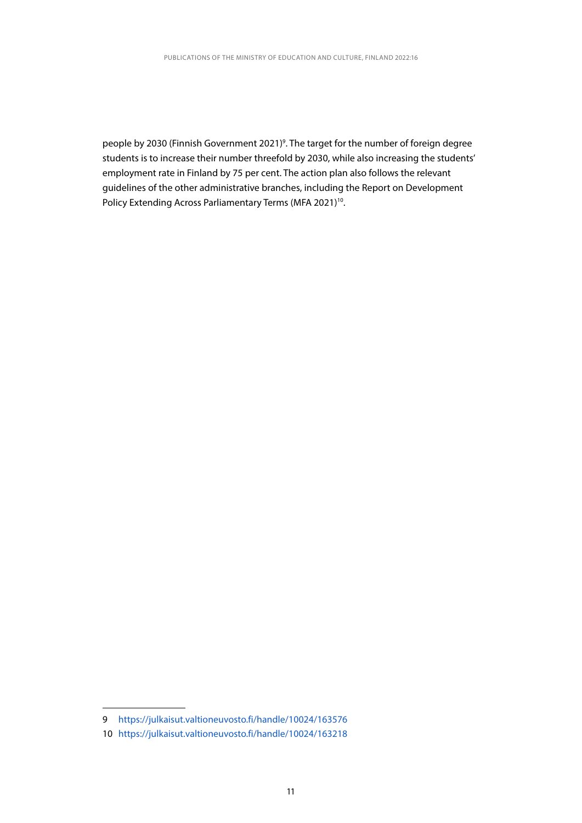people by 2030 (Finnish Government 2021)<sup>9</sup>. The target for the number of foreign degree students is to increase their number threefold by 2030, while also increasing the students' employment rate in Finland by 75 per cent. The action plan also follows the relevant guidelines of the other administrative branches, including the Report on Development Policy Extending Across Parliamentary Terms (MFA 2021)<sup>10</sup>.

<sup>9</sup> <https://julkaisut.valtioneuvosto.fi/handle/10024/163576>

<sup>10</sup> <https://julkaisut.valtioneuvosto.fi/handle/10024/163218>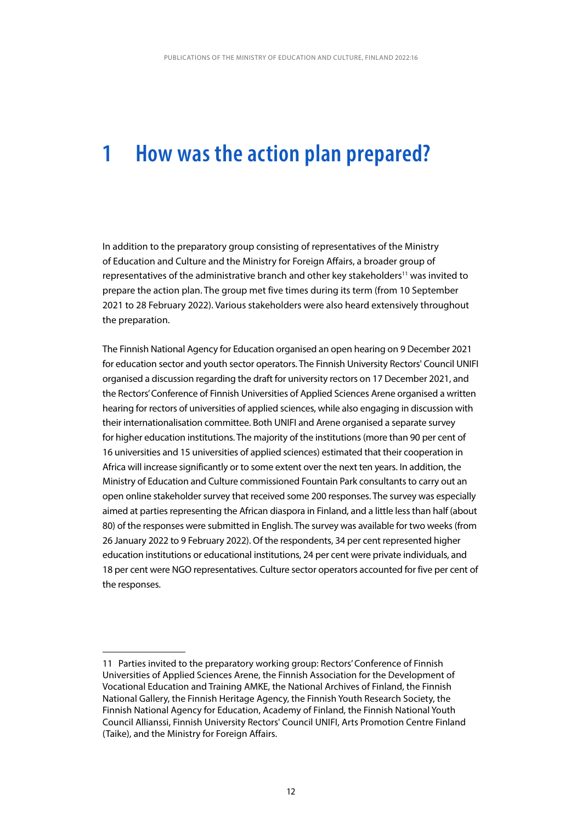### <span id="page-12-0"></span>**1 How was the action plan prepared?**

In addition to the preparatory group consisting of representatives of the Ministry of Education and Culture and the Ministry for Foreign Affairs, a broader group of representatives of the administrative branch and other key stakeholders<sup>11</sup> was invited to prepare the action plan. The group met five times during its term (from 10 September 2021 to 28 February 2022). Various stakeholders were also heard extensively throughout the preparation.

The Finnish National Agency for Education organised an open hearing on 9 December 2021 for education sector and youth sector operators. The Finnish University Rectors' Council UNIFI organised a discussion regarding the draft for university rectors on 17 December 2021, and the Rectors' Conference of Finnish Universities of Applied Sciences Arene organised a written hearing for rectors of universities of applied sciences, while also engaging in discussion with their internationalisation committee. Both UNIFI and Arene organised a separate survey for higher education institutions. The majority of the institutions (more than 90 per cent of 16 universities and 15 universities of applied sciences) estimated that their cooperation in Africa will increase significantly or to some extent over the next ten years. In addition, the Ministry of Education and Culture commissioned Fountain Park consultants to carry out an open online stakeholder survey that received some 200 responses. The survey was especially aimed at parties representing the African diaspora in Finland, and a little less than half (about 80) of the responses were submitted in English. The survey was available for two weeks (from 26 January 2022 to 9 February 2022). Of the respondents, 34 per cent represented higher education institutions or educational institutions, 24 per cent were private individuals, and 18 per cent were NGO representatives. Culture sector operators accounted for five per cent of the responses.

<sup>11</sup> Parties invited to the preparatory working group: Rectors' Conference of Finnish Universities of Applied Sciences Arene, the Finnish Association for the Development of Vocational Education and Training AMKE, the National Archives of Finland, the Finnish National Gallery, the Finnish Heritage Agency, the Finnish Youth Research Society, the Finnish National Agency for Education, Academy of Finland, the Finnish National Youth Council Allianssi, Finnish University Rectors' Council UNIFI, Arts Promotion Centre Finland (Taike), and the Ministry for Foreign Affairs.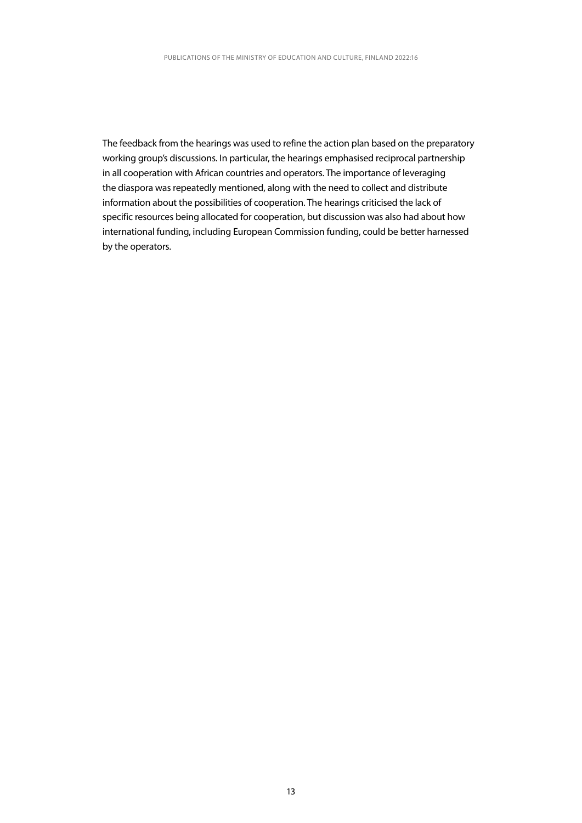The feedback from the hearings was used to refine the action plan based on the preparatory working group's discussions. In particular, the hearings emphasised reciprocal partnership in all cooperation with African countries and operators. The importance of leveraging the diaspora was repeatedly mentioned, along with the need to collect and distribute information about the possibilities of cooperation. The hearings criticised the lack of specific resources being allocated for cooperation, but discussion was also had about how international funding, including European Commission funding, could be better harnessed by the operators.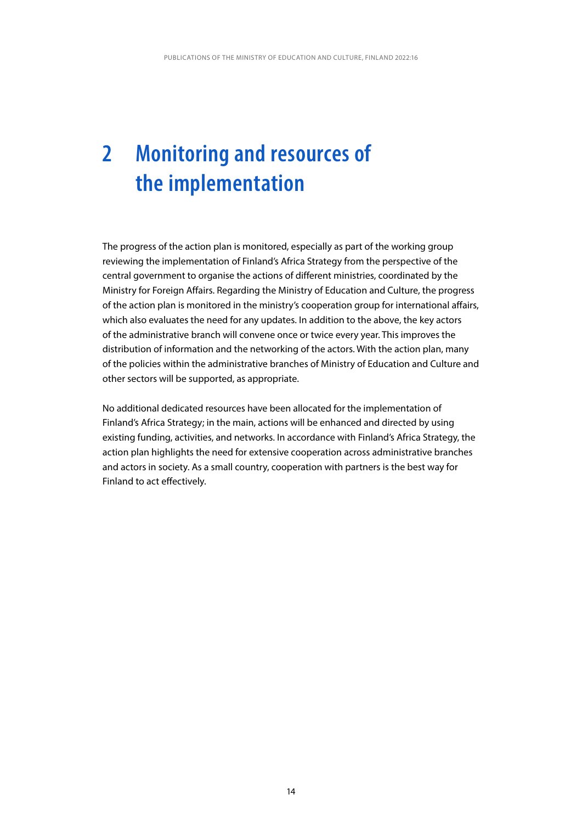# <span id="page-14-0"></span>**2 Monitoring and resources of the implementation**

The progress of the action plan is monitored, especially as part of the working group reviewing the implementation of Finland's Africa Strategy from the perspective of the central government to organise the actions of different ministries, coordinated by the Ministry for Foreign Affairs. Regarding the Ministry of Education and Culture, the progress of the action plan is monitored in the ministry's cooperation group for international affairs, which also evaluates the need for any updates. In addition to the above, the key actors of the administrative branch will convene once or twice every year. This improves the distribution of information and the networking of the actors. With the action plan, many of the policies within the administrative branches of Ministry of Education and Culture and other sectors will be supported, as appropriate.

No additional dedicated resources have been allocated for the implementation of Finland's Africa Strategy; in the main, actions will be enhanced and directed by using existing funding, activities, and networks. In accordance with Finland's Africa Strategy, the action plan highlights the need for extensive cooperation across administrative branches and actors in society. As a small country, cooperation with partners is the best way for Finland to act effectively.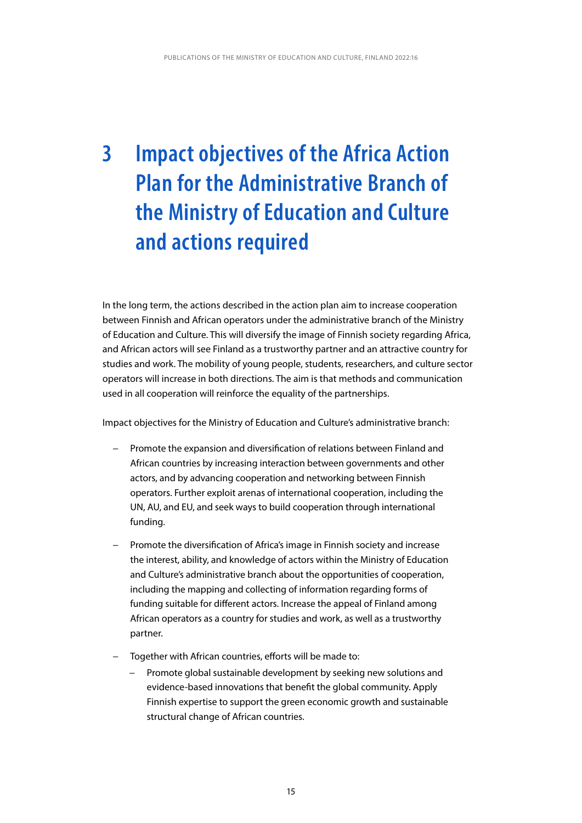# <span id="page-15-0"></span>**3 Impact objectives of the Africa Action Plan for the Administrative Branch of the Ministry of Education and Culture and actions required**

In the long term, the actions described in the action plan aim to increase cooperation between Finnish and African operators under the administrative branch of the Ministry of Education and Culture. This will diversify the image of Finnish society regarding Africa, and African actors will see Finland as a trustworthy partner and an attractive country for studies and work. The mobility of young people, students, researchers, and culture sector operators will increase in both directions. The aim is that methods and communication used in all cooperation will reinforce the equality of the partnerships.

Impact objectives for the Ministry of Education and Culture's administrative branch:

- Promote the expansion and diversification of relations between Finland and African countries by increasing interaction between governments and other actors, and by advancing cooperation and networking between Finnish operators. Further exploit arenas of international cooperation, including the UN, AU, and EU, and seek ways to build cooperation through international funding.
- Promote the diversification of Africa's image in Finnish society and increase the interest, ability, and knowledge of actors within the Ministry of Education and Culture's administrative branch about the opportunities of cooperation, including the mapping and collecting of information regarding forms of funding suitable for different actors. Increase the appeal of Finland among African operators as a country for studies and work, as well as a trustworthy partner.
- Together with African countries, efforts will be made to:
	- Promote global sustainable development by seeking new solutions and evidence-based innovations that benefit the global community. Apply Finnish expertise to support the green economic growth and sustainable structural change of African countries.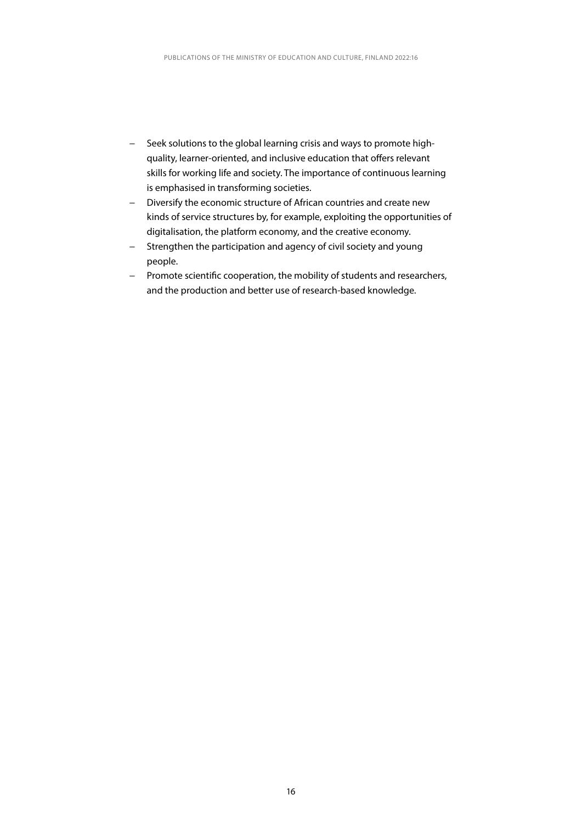- − Seek solutions to the global learning crisis and ways to promote highquality, learner-oriented, and inclusive education that offers relevant skills for working life and society. The importance of continuous learning is emphasised in transforming societies.
- − Diversify the economic structure of African countries and create new kinds of service structures by, for example, exploiting the opportunities of digitalisation, the platform economy, and the creative economy.
- − Strengthen the participation and agency of civil society and young people.
- − Promote scientific cooperation, the mobility of students and researchers, and the production and better use of research-based knowledge.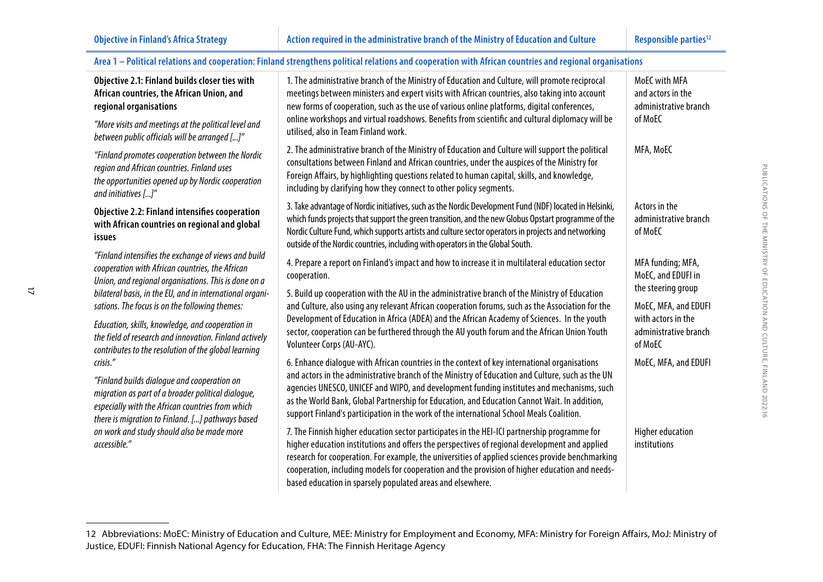$\overrightarrow{L}$ 

| Area 1 - Political relations and cooperation: Finland strengthens political relations and cooperation with African countries and regional organisations                                                                                                                             |                                                                                                                                                                                                                                                                                                                                                                                                                                                                                           |                                                               |  |
|-------------------------------------------------------------------------------------------------------------------------------------------------------------------------------------------------------------------------------------------------------------------------------------|-------------------------------------------------------------------------------------------------------------------------------------------------------------------------------------------------------------------------------------------------------------------------------------------------------------------------------------------------------------------------------------------------------------------------------------------------------------------------------------------|---------------------------------------------------------------|--|
| Objective 2.1: Finland builds closer ties with<br>African countries, the African Union, and<br>regional organisations                                                                                                                                                               | 1. The administrative branch of the Ministry of Education and Culture, will promote reciprocal<br>meetings between ministers and expert visits with African countries, also taking into account<br>new forms of cooperation, such as the use of various online platforms, digital conferences,                                                                                                                                                                                            | MoEC with MFA<br>and actors in the<br>administrative branch   |  |
| "More visits and meetings at the political level and<br>between public officials will be arranged []"                                                                                                                                                                               | online workshops and virtual roadshows. Benefits from scientific and cultural diplomacy will be<br>utilised, also in Team Finland work.                                                                                                                                                                                                                                                                                                                                                   | of MoEC                                                       |  |
| "Finland promotes cooperation between the Nordic<br>region and African countries. Finland uses<br>the opportunities opened up by Nordic cooperation<br>and initiatives []"                                                                                                          | 2. The administrative branch of the Ministry of Education and Culture will support the political<br>consultations between Finland and African countries, under the auspices of the Ministry for<br>Foreign Affairs, by highlighting questions related to human capital, skills, and knowledge,<br>including by clarifying how they connect to other policy segments.                                                                                                                      | MFA, MoEC                                                     |  |
| Objective 2.2: Finland intensifies cooperation<br>with African countries on regional and global<br>issues                                                                                                                                                                           | 3. Take advantage of Nordic initiatives, such as the Nordic Development Fund (NDF) located in Helsinki,<br>which funds projects that support the green transition, and the new Globus Opstart programme of the<br>Nordic Culture Fund, which supports artists and culture sector operators in projects and networking<br>outside of the Nordic countries, including with operators in the Global South.                                                                                   | Actors in the<br>administrative branch<br>of MoEC             |  |
| "Finland intensifies the exchange of views and build<br>cooperation with African countries, the African<br>Union, and regional organisations. This is done on a                                                                                                                     | 4. Prepare a report on Finland's impact and how to increase it in multilateral education sector<br>cooperation.                                                                                                                                                                                                                                                                                                                                                                           | MFA funding; MFA,<br>MoEC, and EDUFI in<br>the steering group |  |
| bilateral basis, in the EU, and in international organi-<br>sations. The focus is on the following themes:                                                                                                                                                                          | 5. Build up cooperation with the AU in the administrative branch of the Ministry of Education<br>and Culture, also using any relevant African cooperation forums, such as the Association for the                                                                                                                                                                                                                                                                                         | MoEC, MFA, and EDUFI                                          |  |
| Education, skills, knowledge, and cooperation in<br>the field of research and innovation. Finland actively<br>contributes to the resolution of the global learning                                                                                                                  | Development of Education in Africa (ADEA) and the African Academy of Sciences. In the youth<br>sector, cooperation can be furthered through the AU youth forum and the African Union Youth<br>Volunteer Corps (AU-AYC).                                                                                                                                                                                                                                                                   | with actors in the<br>administrative branch<br>of MoEC        |  |
| crisis."<br>"Finland builds dialogue and cooperation on<br>migration as part of a broader political dialogue,<br>especially with the African countries from which<br>there is migration to Finland. [] pathways based<br>on work and study should also be made more<br>accessible." | 6. Enhance dialogue with African countries in the context of key international organisations<br>and actors in the administrative branch of the Ministry of Education and Culture, such as the UN<br>agencies UNESCO, UNICEF and WIPO, and development funding institutes and mechanisms, such<br>as the World Bank, Global Partnership for Education, and Education Cannot Wait. In addition,<br>support Finland's participation in the work of the international School Meals Coalition. | MoEC, MFA, and EDUFI                                          |  |
|                                                                                                                                                                                                                                                                                     | 7. The Finnish higher education sector participates in the HEI-ICI partnership programme for<br>higher education institutions and offers the perspectives of regional development and applied<br>research for cooperation. For example, the universities of applied sciences provide benchmarking<br>cooperation, including models for cooperation and the provision of higher education and needs-<br>based education in sparsely populated areas and elsewhere.                         | <b>Higher education</b><br>institutions                       |  |

#### 12 Abbreviations: MoEC: Ministry of Education and Culture, MEE: Ministry for Employment and Economy, MFA: Ministry for Foreign Affairs, MoJ: Ministry of Justice, EDUFI: Finnish National Agency for Education, FHA: The Finnish Heritage Agency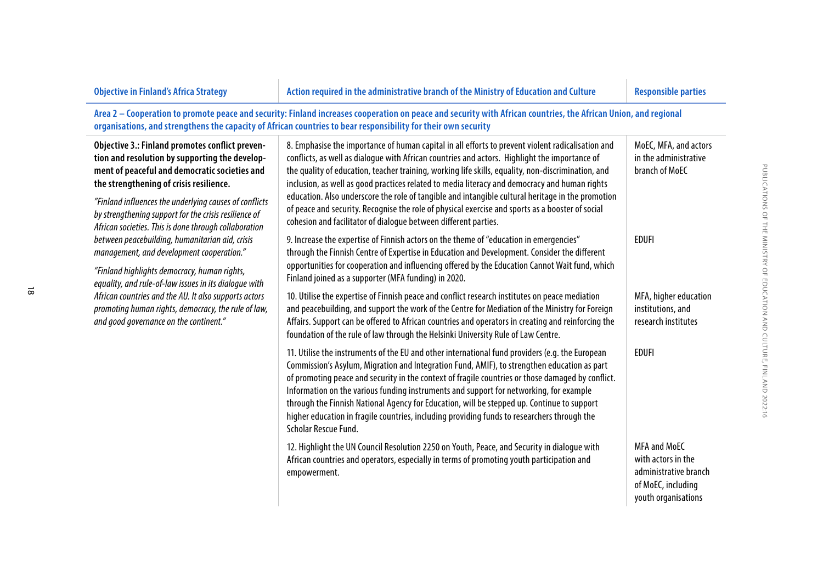| <b>Objective in Finland's Africa Strategy</b>                                                                                                                                                                                                                                                                                                                             | Action required in the administrative branch of the Ministry of Education and Culture                                                                                                                                                                                                                                                                                                                                                                                                                                                                                                                                                                                                 | <b>Responsible parties</b>                                                                                      |
|---------------------------------------------------------------------------------------------------------------------------------------------------------------------------------------------------------------------------------------------------------------------------------------------------------------------------------------------------------------------------|---------------------------------------------------------------------------------------------------------------------------------------------------------------------------------------------------------------------------------------------------------------------------------------------------------------------------------------------------------------------------------------------------------------------------------------------------------------------------------------------------------------------------------------------------------------------------------------------------------------------------------------------------------------------------------------|-----------------------------------------------------------------------------------------------------------------|
|                                                                                                                                                                                                                                                                                                                                                                           | Area 2 - Cooperation to promote peace and security: Finland increases cooperation on peace and security with African countries, the African Union, and regional<br>organisations, and strengthens the capacity of African countries to bear responsibility for their own security                                                                                                                                                                                                                                                                                                                                                                                                     |                                                                                                                 |
| Objective 3.: Finland promotes conflict preven-<br>tion and resolution by supporting the develop-<br>ment of peaceful and democratic societies and<br>the strengthening of crisis resilience.<br>"Finland influences the underlying causes of conflicts<br>by strengthening support for the crisis resilience of<br>African societies. This is done through collaboration | 8. Emphasise the importance of human capital in all efforts to prevent violent radicalisation and<br>conflicts, as well as dialogue with African countries and actors. Highlight the importance of<br>the quality of education, teacher training, working life skills, equality, non-discrimination, and<br>inclusion, as well as good practices related to media literacy and democracy and human rights<br>education. Also underscore the role of tangible and intangible cultural heritage in the promotion<br>of peace and security. Recognise the role of physical exercise and sports as a booster of social<br>cohesion and facilitator of dialogue between different parties. | MoEC, MFA, and actors<br>in the administrative<br>branch of MoEC                                                |
| between peacebuilding, humanitarian aid, crisis<br>management, and development cooperation."<br>"Finland highlights democracy, human rights,<br>equality, and rule-of-law issues in its dialoque with<br>African countries and the AU. It also supports actors                                                                                                            | 9. Increase the expertise of Finnish actors on the theme of "education in emergencies"<br>through the Finnish Centre of Expertise in Education and Development. Consider the different<br>opportunities for cooperation and influencing offered by the Education Cannot Wait fund, which<br>Finland joined as a supporter (MFA funding) in 2020.<br>10. Utilise the expertise of Finnish peace and conflict research institutes on peace mediation                                                                                                                                                                                                                                    | <b>EDUFI</b><br>MFA, higher education                                                                           |
| promoting human rights, democracy, the rule of law,<br>and good governance on the continent."                                                                                                                                                                                                                                                                             | and peacebuilding, and support the work of the Centre for Mediation of the Ministry for Foreign<br>Affairs. Support can be offered to African countries and operators in creating and reinforcing the<br>foundation of the rule of law through the Helsinki University Rule of Law Centre.                                                                                                                                                                                                                                                                                                                                                                                            | institutions, and<br>research institutes                                                                        |
|                                                                                                                                                                                                                                                                                                                                                                           | 11. Utilise the instruments of the EU and other international fund providers (e.g. the European<br>Commission's Asylum, Migration and Integration Fund, AMIF), to strengthen education as part<br>of promoting peace and security in the context of fragile countries or those damaged by conflict.<br>Information on the various funding instruments and support for networking, for example<br>through the Finnish National Agency for Education, will be stepped up. Continue to support<br>higher education in fragile countries, including providing funds to researchers through the<br>Scholar Rescue Fund.                                                                    | <b>EDUFI</b>                                                                                                    |
|                                                                                                                                                                                                                                                                                                                                                                           | 12. Highlight the UN Council Resolution 2250 on Youth, Peace, and Security in dialogue with<br>African countries and operators, especially in terms of promoting youth participation and<br>empowerment.                                                                                                                                                                                                                                                                                                                                                                                                                                                                              | <b>MFA and MoEC</b><br>with actors in the<br>administrative branch<br>of MoEC, including<br>youth organisations |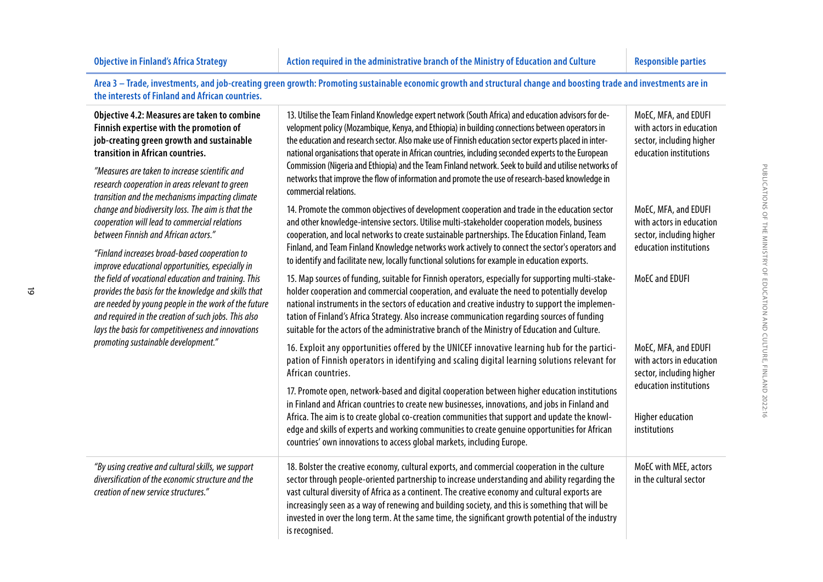$\vec{\circ}$ 

| the interests of Finland and African countries.                                                                                                                                                                                                                                                                                                                                                                                                                                                                                                                              | Area 3 - Trade, investments, and job-creating green growth: Promoting sustainable economic growth and structural change and boosting trade and investments are in                                                                                                                                                                                                                                                                                                                                                                                                                                                                                                                                      |                                                                                                                                                   |
|------------------------------------------------------------------------------------------------------------------------------------------------------------------------------------------------------------------------------------------------------------------------------------------------------------------------------------------------------------------------------------------------------------------------------------------------------------------------------------------------------------------------------------------------------------------------------|--------------------------------------------------------------------------------------------------------------------------------------------------------------------------------------------------------------------------------------------------------------------------------------------------------------------------------------------------------------------------------------------------------------------------------------------------------------------------------------------------------------------------------------------------------------------------------------------------------------------------------------------------------------------------------------------------------|---------------------------------------------------------------------------------------------------------------------------------------------------|
| Objective 4.2: Measures are taken to combine<br>Finnish expertise with the promotion of<br>job-creating green growth and sustainable<br>transition in African countries.<br>"Measures are taken to increase scientific and<br>research cooperation in areas relevant to green<br>transition and the mechanisms impacting climate                                                                                                                                                                                                                                             | 13. Utilise the Team Finland Knowledge expert network (South Africa) and education advisors for de-<br>velopment policy (Mozambique, Kenya, and Ethiopia) in building connections between operators in<br>the education and research sector. Also make use of Finnish education sector experts placed in inter-<br>national organisations that operate in African countries, including seconded experts to the European<br>Commission (Nigeria and Ethiopia) and the Team Finland network. Seek to build and utilise networks of<br>networks that improve the flow of information and promote the use of research-based knowledge in<br>commercial relations.                                          | MoEC, MFA, and EDUFI<br>with actors in education<br>sector, including higher<br>education institutions                                            |
| change and biodiversity loss. The aim is that the<br>cooperation will lead to commercial relations<br>between Finnish and African actors."<br>"Finland increases broad-based cooperation to<br>improve educational opportunities, especially in<br>the field of vocational education and training. This<br>provides the basis for the knowledge and skills that<br>are needed by young people in the work of the future<br>and required in the creation of such jobs. This also<br>lays the basis for competitiveness and innovations<br>promoting sustainable development." | 14. Promote the common objectives of development cooperation and trade in the education sector<br>and other knowledge-intensive sectors. Utilise multi-stakeholder cooperation models, business<br>cooperation, and local networks to create sustainable partnerships. The Education Finland, Team<br>Finland, and Team Finland Knowledge networks work actively to connect the sector's operators and<br>to identify and facilitate new, locally functional solutions for example in education exports.                                                                                                                                                                                               | MoEC, MFA, and EDUFI<br>with actors in education<br>sector, including higher<br>education institutions                                            |
|                                                                                                                                                                                                                                                                                                                                                                                                                                                                                                                                                                              | 15. Map sources of funding, suitable for Finnish operators, especially for supporting multi-stake-<br>holder cooperation and commercial cooperation, and evaluate the need to potentially develop<br>national instruments in the sectors of education and creative industry to support the implemen-<br>tation of Finland's Africa Strategy. Also increase communication regarding sources of funding<br>suitable for the actors of the administrative branch of the Ministry of Education and Culture.                                                                                                                                                                                                | MoEC and EDUFI                                                                                                                                    |
|                                                                                                                                                                                                                                                                                                                                                                                                                                                                                                                                                                              | 16. Exploit any opportunities offered by the UNICEF innovative learning hub for the partici-<br>pation of Finnish operators in identifying and scaling digital learning solutions relevant for<br>African countries.<br>17. Promote open, network-based and digital cooperation between higher education institutions<br>in Finland and African countries to create new businesses, innovations, and jobs in Finland and<br>Africa. The aim is to create global co-creation communities that support and update the knowl-<br>edge and skills of experts and working communities to create genuine opportunities for African<br>countries' own innovations to access global markets, including Europe. | MoEC, MFA, and EDUFI<br>with actors in education<br>sector, including higher<br>education institutions<br><b>Higher education</b><br>institutions |
| "By using creative and cultural skills, we support<br>diversification of the economic structure and the<br>creation of new service structures."                                                                                                                                                                                                                                                                                                                                                                                                                              | 18. Bolster the creative economy, cultural exports, and commercial cooperation in the culture<br>sector through people-oriented partnership to increase understanding and ability regarding the<br>vast cultural diversity of Africa as a continent. The creative economy and cultural exports are<br>increasingly seen as a way of renewing and building society, and this is something that will be<br>invested in over the long term. At the same time, the significant growth potential of the industry<br>is recognised.                                                                                                                                                                          | MoEC with MEE, actors<br>in the cultural sector                                                                                                   |

P<sub>u</sub>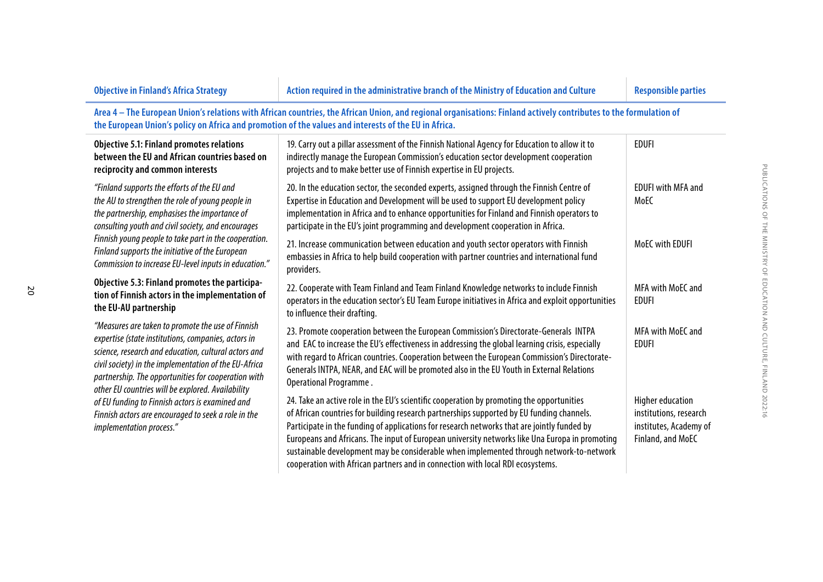| <b>Objective in Finland's Africa Strategy</b>                                                                                                                                                                                                                                                                                                                               | Action required in the administrative branch of the Ministry of Education and Culture                                                                                                                                                                                                                                                                                                                                                                                                                                                                                | <b>Responsible parties</b>                                                                       |
|-----------------------------------------------------------------------------------------------------------------------------------------------------------------------------------------------------------------------------------------------------------------------------------------------------------------------------------------------------------------------------|----------------------------------------------------------------------------------------------------------------------------------------------------------------------------------------------------------------------------------------------------------------------------------------------------------------------------------------------------------------------------------------------------------------------------------------------------------------------------------------------------------------------------------------------------------------------|--------------------------------------------------------------------------------------------------|
| the European Union's policy on Africa and promotion of the values and interests of the EU in Africa.                                                                                                                                                                                                                                                                        | Area 4 - The European Union's relations with African countries, the African Union, and regional organisations: Finland actively contributes to the formulation of                                                                                                                                                                                                                                                                                                                                                                                                    |                                                                                                  |
| <b>Objective 5.1: Finland promotes relations</b><br>between the EU and African countries based on<br>reciprocity and common interests                                                                                                                                                                                                                                       | 19. Carry out a pillar assessment of the Finnish National Agency for Education to allow it to<br>indirectly manage the European Commission's education sector development cooperation<br>projects and to make better use of Finnish expertise in EU projects.                                                                                                                                                                                                                                                                                                        | <b>EDUFI</b>                                                                                     |
| "Finland supports the efforts of the EU and<br>the AU to strengthen the role of young people in<br>the partnership, emphasises the importance of<br>consulting youth and civil society, and encourages<br>Finnish young people to take part in the cooperation.<br>Finland supports the initiative of the European<br>Commission to increase EU-level inputs in education." | 20. In the education sector, the seconded experts, assigned through the Finnish Centre of<br>Expertise in Education and Development will be used to support EU development policy<br>implementation in Africa and to enhance opportunities for Finland and Finnish operators to<br>participate in the EU's joint programming and development cooperation in Africa.                                                                                                                                                                                                  | <b>EDUFI with MFA and</b><br>MoEC                                                                |
|                                                                                                                                                                                                                                                                                                                                                                             | 21. Increase communication between education and youth sector operators with Finnish<br>embassies in Africa to help build cooperation with partner countries and international fund<br>providers.                                                                                                                                                                                                                                                                                                                                                                    | MoEC with EDUFI                                                                                  |
| Objective 5.3: Finland promotes the participa-<br>tion of Finnish actors in the implementation of<br>the EU-AU partnership                                                                                                                                                                                                                                                  | 22. Cooperate with Team Finland and Team Finland Knowledge networks to include Finnish<br>operators in the education sector's EU Team Europe initiatives in Africa and exploit opportunities<br>to influence their drafting.                                                                                                                                                                                                                                                                                                                                         | MFA with MoEC and<br><b>EDUFI</b>                                                                |
| "Measures are taken to promote the use of Finnish<br>expertise (state institutions, companies, actors in<br>science, research and education, cultural actors and<br>civil society) in the implementation of the EU-Africa<br>partnership. The opportunities for cooperation with<br>other EU countries will be explored. Availability                                       | 23. Promote cooperation between the European Commission's Directorate-Generals INTPA<br>and EAC to increase the EU's effectiveness in addressing the global learning crisis, especially<br>with regard to African countries. Cooperation between the European Commission's Directorate-<br>Generals INTPA, NEAR, and EAC will be promoted also in the EU Youth in External Relations<br>Operational Programme.                                                                                                                                                       | MFA with MoEC and<br><b>EDUFI</b>                                                                |
| of EU funding to Finnish actors is examined and<br>Finnish actors are encouraged to seek a role in the<br>implementation process."                                                                                                                                                                                                                                          | 24. Take an active role in the EU's scientific cooperation by promoting the opportunities<br>of African countries for building research partnerships supported by EU funding channels.<br>Participate in the funding of applications for research networks that are jointly funded by<br>Europeans and Africans. The input of European university networks like Una Europa in promoting<br>sustainable development may be considerable when implemented through network-to-network<br>cooperation with African partners and in connection with local RDI ecosystems. | <b>Higher education</b><br>institutions, research<br>institutes, Academy of<br>Finland, and MoEC |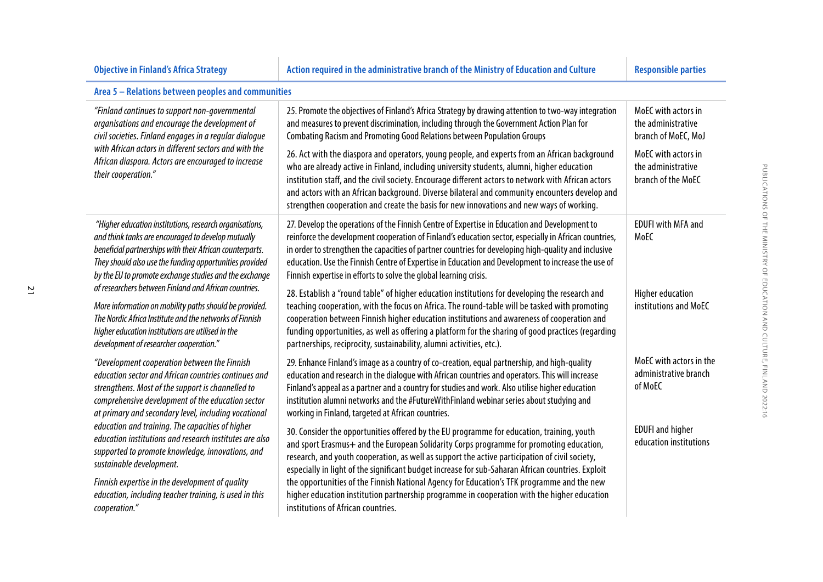### **Objective in Finland's Africa Strategy Action required in the administrative branch of the Ministry of Education and Culture Responsible parties Responsible parties**

| Area 5 – Relations between peoples and communities |  |
|----------------------------------------------------|--|
|----------------------------------------------------|--|

| "Finland continues to support non-governmental<br>organisations and encourage the development of<br>civil societies. Finland engages in a regular dialogue<br>with African actors in different sectors and with the<br>African diaspora. Actors are encouraged to increase<br>their cooperation."                                                                                                                                                                                                                                                                                                   | 25. Promote the objectives of Finland's Africa Strategy by drawing attention to two-way integration<br>and measures to prevent discrimination, including through the Government Action Plan for<br>Combating Racism and Promoting Good Relations between Population Groups<br>26. Act with the diaspora and operators, young people, and experts from an African background<br>who are already active in Finland, including university students, alumni, higher education<br>institution staff, and the civil society. Encourage different actors to network with African actors<br>and actors with an African background. Diverse bilateral and community encounters develop and<br>strengthen cooperation and create the basis for new innovations and new ways of working.                                                                                                                                                                                                                                                                                                          | MoEC with actors in<br>the administrative<br>branch of MoEC, MoJ<br>MoEC with actors in<br>the administrative<br>branch of the MoEC |
|-----------------------------------------------------------------------------------------------------------------------------------------------------------------------------------------------------------------------------------------------------------------------------------------------------------------------------------------------------------------------------------------------------------------------------------------------------------------------------------------------------------------------------------------------------------------------------------------------------|----------------------------------------------------------------------------------------------------------------------------------------------------------------------------------------------------------------------------------------------------------------------------------------------------------------------------------------------------------------------------------------------------------------------------------------------------------------------------------------------------------------------------------------------------------------------------------------------------------------------------------------------------------------------------------------------------------------------------------------------------------------------------------------------------------------------------------------------------------------------------------------------------------------------------------------------------------------------------------------------------------------------------------------------------------------------------------------|-------------------------------------------------------------------------------------------------------------------------------------|
| "Higher education institutions, research organisations,<br>and think tanks are encouraged to develop mutually<br>beneficial partnerships with their African counterparts.<br>They should also use the funding opportunities provided<br>by the EU to promote exchange studies and the exchange<br>of researchers between Finland and African countries.<br>More information on mobility paths should be provided.<br>The Nordic Africa Institute and the networks of Finnish<br>higher education institutions are utilised in the<br>development of researcher cooperation."                        | 27. Develop the operations of the Finnish Centre of Expertise in Education and Development to<br>reinforce the development cooperation of Finland's education sector, especially in African countries,<br>in order to strengthen the capacities of partner countries for developing high-quality and inclusive<br>education. Use the Finnish Centre of Expertise in Education and Development to increase the use of<br>Finnish expertise in efforts to solve the global learning crisis.<br>28. Establish a "round table" of higher education institutions for developing the research and<br>teaching cooperation, with the focus on Africa. The round-table will be tasked with promoting<br>cooperation between Finnish higher education institutions and awareness of cooperation and<br>funding opportunities, as well as offering a platform for the sharing of good practices (regarding<br>partnerships, reciprocity, sustainability, alumni activities, etc.).                                                                                                               | <b>EDUFI with MFA and</b><br>MoEC<br>Higher education<br>institutions and MoEC                                                      |
| "Development cooperation between the Finnish<br>education sector and African countries continues and<br>strengthens. Most of the support is channelled to<br>comprehensive development of the education sector<br>at primary and secondary level, including vocational<br>education and training. The capacities of higher<br>education institutions and research institutes are also<br>supported to promote knowledge, innovations, and<br>sustainable development.<br>Finnish expertise in the development of quality<br>education, including teacher training, is used in this<br>cooperation." | 29. Enhance Finland's image as a country of co-creation, equal partnership, and high-quality<br>education and research in the dialogue with African countries and operators. This will increase<br>Finland's appeal as a partner and a country for studies and work. Also utilise higher education<br>institution alumni networks and the #FutureWithFinland webinar series about studying and<br>working in Finland, targeted at African countries.<br>30. Consider the opportunities offered by the EU programme for education, training, youth<br>and sport Erasmus+ and the European Solidarity Corps programme for promoting education,<br>research, and youth cooperation, as well as support the active participation of civil society,<br>especially in light of the significant budget increase for sub-Saharan African countries. Exploit<br>the opportunities of the Finnish National Agency for Education's TFK programme and the new<br>higher education institution partnership programme in cooperation with the higher education<br>institutions of African countries. | MoEC with actors in the<br>administrative branch<br>of MoEC<br><b>EDUFI</b> and higher<br>education institutions                    |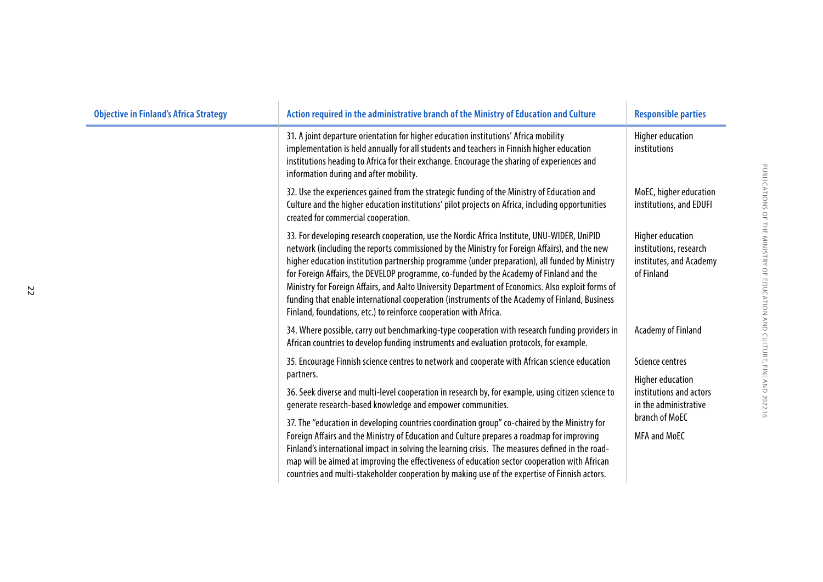| <b>Objective in Finland's Africa Strategy</b> | Action required in the administrative branch of the Ministry of Education and Culture                                                                                                                                                                                                                                                                                                                                                                                                                                                                                                                                                                                 | <b>Responsible parties</b>                                                                 |
|-----------------------------------------------|-----------------------------------------------------------------------------------------------------------------------------------------------------------------------------------------------------------------------------------------------------------------------------------------------------------------------------------------------------------------------------------------------------------------------------------------------------------------------------------------------------------------------------------------------------------------------------------------------------------------------------------------------------------------------|--------------------------------------------------------------------------------------------|
|                                               | 31. A joint departure orientation for higher education institutions' Africa mobility<br>implementation is held annually for all students and teachers in Finnish higher education<br>institutions heading to Africa for their exchange. Encourage the sharing of experiences and<br>information during and after mobility.                                                                                                                                                                                                                                                                                                                                            | <b>Higher education</b><br>institutions                                                    |
|                                               | 32. Use the experiences gained from the strategic funding of the Ministry of Education and<br>Culture and the higher education institutions' pilot projects on Africa, including opportunities<br>created for commercial cooperation.                                                                                                                                                                                                                                                                                                                                                                                                                                 | MoEC, higher education<br>institutions, and EDUFI                                          |
|                                               | 33. For developing research cooperation, use the Nordic Africa Institute, UNU-WIDER, UniPID<br>network (including the reports commissioned by the Ministry for Foreign Affairs), and the new<br>higher education institution partnership programme (under preparation), all funded by Ministry<br>for Foreign Affairs, the DEVELOP programme, co-funded by the Academy of Finland and the<br>Ministry for Foreign Affairs, and Aalto University Department of Economics. Also exploit forms of<br>funding that enable international cooperation (instruments of the Academy of Finland, Business<br>Finland, foundations, etc.) to reinforce cooperation with Africa. | <b>Higher education</b><br>institutions, research<br>institutes, and Academy<br>of Finland |
|                                               | 34. Where possible, carry out benchmarking-type cooperation with research funding providers in<br>African countries to develop funding instruments and evaluation protocols, for example.                                                                                                                                                                                                                                                                                                                                                                                                                                                                             | Academy of Finland                                                                         |
|                                               | 35. Encourage Finnish science centres to network and cooperate with African science education<br>partners.                                                                                                                                                                                                                                                                                                                                                                                                                                                                                                                                                            | Science centres<br><b>Higher education</b>                                                 |
|                                               | 36. Seek diverse and multi-level cooperation in research by, for example, using citizen science to<br>generate research-based knowledge and empower communities.                                                                                                                                                                                                                                                                                                                                                                                                                                                                                                      | institutions and actors<br>in the administrative                                           |
|                                               | 37. The "education in developing countries coordination group" co-chaired by the Ministry for<br>Foreign Affairs and the Ministry of Education and Culture prepares a roadmap for improving<br>Finland's international impact in solving the learning crisis. The measures defined in the road-<br>map will be aimed at improving the effectiveness of education sector cooperation with African<br>countries and multi-stakeholder cooperation by making use of the expertise of Finnish actors.                                                                                                                                                                     | branch of MoEC<br><b>MFA and MoEC</b>                                                      |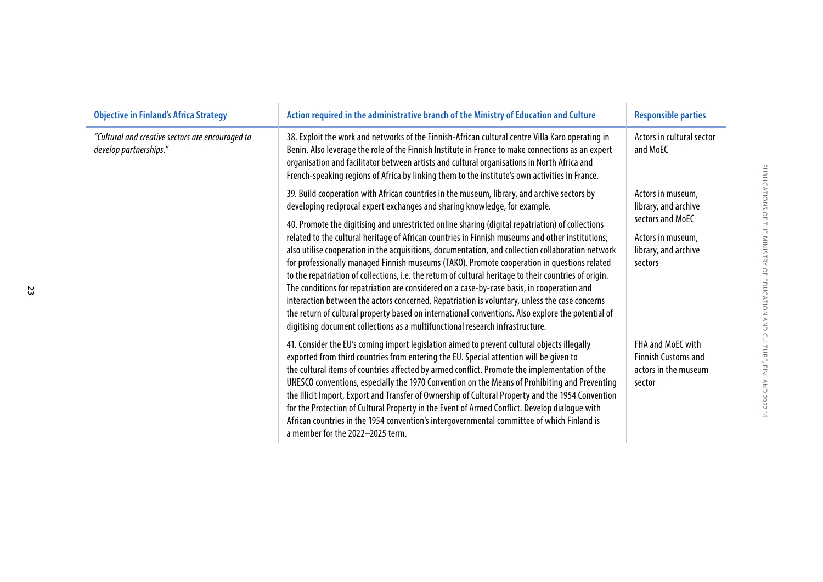| <b>Objective in Finland's Africa Strategy</b>                              | Action required in the administrative branch of the Ministry of Education and Culture                                                                                                                                                                                                                                                                                                                                                                                                                                                                                                                                                                                                                                                                                                                                                                                                                   | <b>Responsible parties</b>                                                                                            |
|----------------------------------------------------------------------------|---------------------------------------------------------------------------------------------------------------------------------------------------------------------------------------------------------------------------------------------------------------------------------------------------------------------------------------------------------------------------------------------------------------------------------------------------------------------------------------------------------------------------------------------------------------------------------------------------------------------------------------------------------------------------------------------------------------------------------------------------------------------------------------------------------------------------------------------------------------------------------------------------------|-----------------------------------------------------------------------------------------------------------------------|
| "Cultural and creative sectors are encouraged to<br>develop partnerships." | 38. Exploit the work and networks of the Finnish-African cultural centre Villa Karo operating in<br>Benin. Also leverage the role of the Finnish Institute in France to make connections as an expert<br>organisation and facilitator between artists and cultural organisations in North Africa and<br>French-speaking regions of Africa by linking them to the institute's own activities in France.                                                                                                                                                                                                                                                                                                                                                                                                                                                                                                  | Actors in cultural sector<br>and MoEC                                                                                 |
|                                                                            | 39. Build cooperation with African countries in the museum, library, and archive sectors by<br>developing reciprocal expert exchanges and sharing knowledge, for example.                                                                                                                                                                                                                                                                                                                                                                                                                                                                                                                                                                                                                                                                                                                               | Actors in museum,<br>library, and archive<br>sectors and MoEC<br>Actors in museum,<br>library, and archive<br>sectors |
|                                                                            | 40. Promote the digitising and unrestricted online sharing (digital repatriation) of collections<br>related to the cultural heritage of African countries in Finnish museums and other institutions;<br>also utilise cooperation in the acquisitions, documentation, and collection collaboration network<br>for professionally managed Finnish museums (TAKO). Promote cooperation in questions related<br>to the repatriation of collections, i.e. the return of cultural heritage to their countries of origin.<br>The conditions for repatriation are considered on a case-by-case basis, in cooperation and<br>interaction between the actors concerned. Repatriation is voluntary, unless the case concerns<br>the return of cultural property based on international conventions. Also explore the potential of<br>digitising document collections as a multifunctional research infrastructure. |                                                                                                                       |
|                                                                            | 41. Consider the EU's coming import legislation aimed to prevent cultural objects illegally<br>exported from third countries from entering the EU. Special attention will be given to<br>the cultural items of countries affected by armed conflict. Promote the implementation of the<br>UNESCO conventions, especially the 1970 Convention on the Means of Prohibiting and Preventing<br>the Illicit Import, Export and Transfer of Ownership of Cultural Property and the 1954 Convention<br>for the Protection of Cultural Property in the Event of Armed Conflict. Develop dialogue with<br>African countries in the 1954 convention's intergovernmental committee of which Finland is<br>a member for the 2022-2025 term.                                                                                                                                                                         | <b>FHA and MoFC with</b><br><b>Finnish Customs and</b><br>actors in the museum<br>sector                              |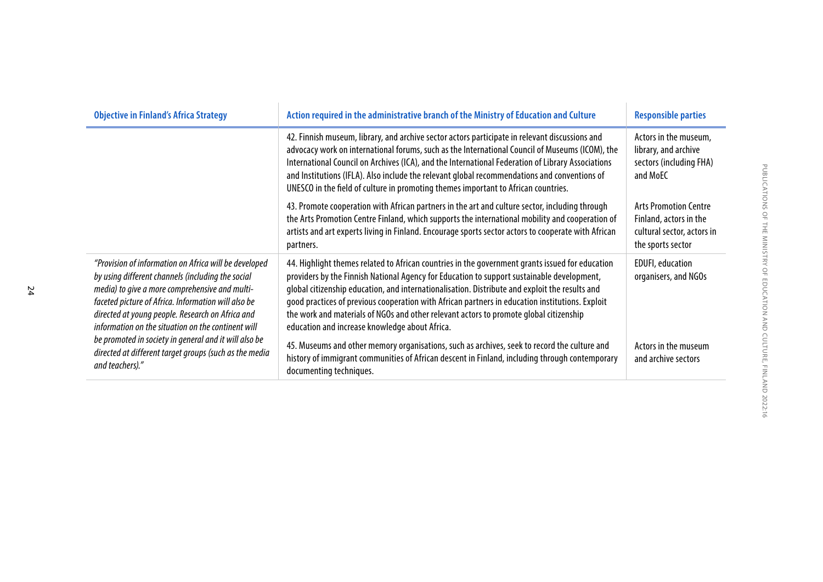| <b>Objective in Finland's Africa Strategy</b>                                                                                                                                                                                                                                                                                                                                                                                                                       | Action required in the administrative branch of the Ministry of Education and Culture                                                                                                                                                                                                                                                                                                                                                                                                                                                          | <b>Responsible parties</b>                                                                                |
|---------------------------------------------------------------------------------------------------------------------------------------------------------------------------------------------------------------------------------------------------------------------------------------------------------------------------------------------------------------------------------------------------------------------------------------------------------------------|------------------------------------------------------------------------------------------------------------------------------------------------------------------------------------------------------------------------------------------------------------------------------------------------------------------------------------------------------------------------------------------------------------------------------------------------------------------------------------------------------------------------------------------------|-----------------------------------------------------------------------------------------------------------|
|                                                                                                                                                                                                                                                                                                                                                                                                                                                                     | 42. Finnish museum, library, and archive sector actors participate in relevant discussions and<br>advocacy work on international forums, such as the International Council of Museums (ICOM), the<br>International Council on Archives (ICA), and the International Federation of Library Associations<br>and Institutions (IFLA). Also include the relevant global recommendations and conventions of<br>UNESCO in the field of culture in promoting themes important to African countries.                                                   | Actors in the museum,<br>library, and archive<br>sectors (including FHA)<br>and MoEC                      |
|                                                                                                                                                                                                                                                                                                                                                                                                                                                                     | 43. Promote cooperation with African partners in the art and culture sector, including through<br>the Arts Promotion Centre Finland, which supports the international mobility and cooperation of<br>artists and art experts living in Finland. Encourage sports sector actors to cooperate with African<br>partners.                                                                                                                                                                                                                          | <b>Arts Promotion Centre</b><br>Finland, actors in the<br>cultural sector, actors in<br>the sports sector |
| "Provision of information on Africa will be developed<br>by using different channels (including the social<br>media) to give a more comprehensive and multi-<br>faceted picture of Africa. Information will also be<br>directed at young people. Research on Africa and<br>information on the situation on the continent will<br>be promoted in society in general and it will also be<br>directed at different target groups (such as the media<br>and teachers)." | 44. Highlight themes related to African countries in the government grants issued for education<br>providers by the Finnish National Agency for Education to support sustainable development,<br>global citizenship education, and internationalisation. Distribute and exploit the results and<br>good practices of previous cooperation with African partners in education institutions. Exploit<br>the work and materials of NGOs and other relevant actors to promote global citizenship<br>education and increase knowledge about Africa. | <b>EDUFI</b> , education<br>organisers, and NGOs                                                          |
|                                                                                                                                                                                                                                                                                                                                                                                                                                                                     | 45. Museums and other memory organisations, such as archives, seek to record the culture and<br>history of immigrant communities of African descent in Finland, including through contemporary<br>documenting techniques.                                                                                                                                                                                                                                                                                                                      | Actors in the museum<br>and archive sectors                                                               |